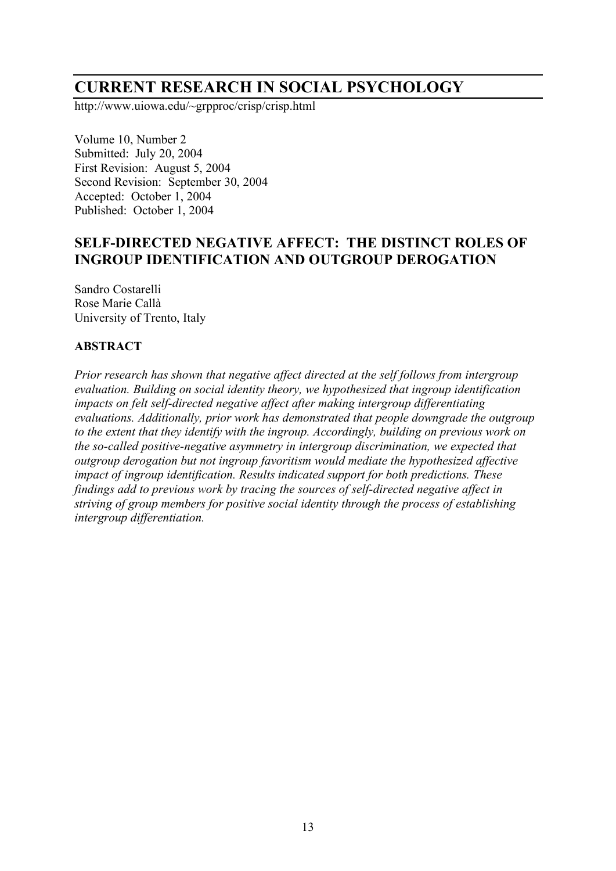# **CURRENT RESEARCH IN SOCIAL PSYCHOLOGY**

http://www.uiowa.edu/~grpproc/crisp/crisp.html

Volume 10, Number 2 Submitted: July 20, 2004 First Revision: August 5, 2004 Second Revision: September 30, 2004 Accepted: October 1, 2004 Published: October 1, 2004

# **SELF-DIRECTED NEGATIVE AFFECT: THE DISTINCT ROLES OF INGROUP IDENTIFICATION AND OUTGROUP DEROGATION**

Sandro Costarelli Rose Marie Callà University of Trento, Italy

### **ABSTRACT**

*Prior research has shown that negative affect directed at the self follows from intergroup evaluation. Building on social identity theory, we hypothesized that ingroup identification impacts on felt self-directed negative affect after making intergroup differentiating evaluations. Additionally, prior work has demonstrated that people downgrade the outgroup to the extent that they identify with the ingroup. Accordingly, building on previous work on the so-called positive-negative asymmetry in intergroup discrimination, we expected that outgroup derogation but not ingroup favoritism would mediate the hypothesized affective impact of ingroup identification. Results indicated support for both predictions. These findings add to previous work by tracing the sources of self-directed negative affect in striving of group members for positive social identity through the process of establishing intergroup differentiation.*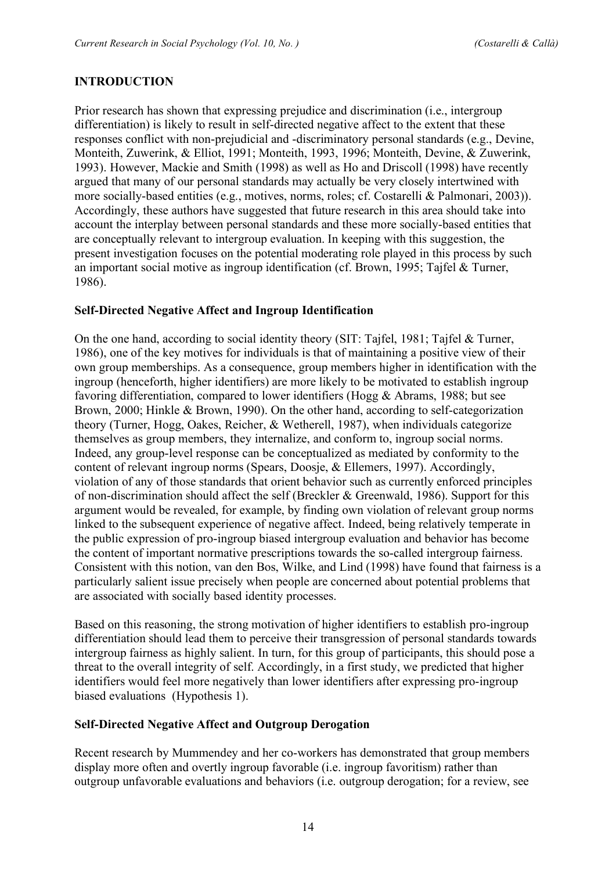### **INTRODUCTION**

Prior research has shown that expressing prejudice and discrimination (i.e., intergroup differentiation) is likely to result in self-directed negative affect to the extent that these responses conflict with non-prejudicial and -discriminatory personal standards (e.g., Devine, Monteith, Zuwerink, & Elliot, 1991; Monteith, 1993, 1996; Monteith, Devine, & Zuwerink, 1993). However, Mackie and Smith (1998) as well as Ho and Driscoll (1998) have recently argued that many of our personal standards may actually be very closely intertwined with more socially-based entities (e.g., motives, norms, roles; cf. Costarelli & Palmonari, 2003)). Accordingly, these authors have suggested that future research in this area should take into account the interplay between personal standards and these more socially-based entities that are conceptually relevant to intergroup evaluation. In keeping with this suggestion, the present investigation focuses on the potential moderating role played in this process by such an important social motive as ingroup identification (cf. Brown, 1995; Tajfel & Turner, 1986).

#### **Self-Directed Negative Affect and Ingroup Identification**

On the one hand, according to social identity theory (SIT: Tajfel, 1981; Tajfel & Turner, 1986), one of the key motives for individuals is that of maintaining a positive view of their own group memberships. As a consequence, group members higher in identification with the ingroup (henceforth, higher identifiers) are more likely to be motivated to establish ingroup favoring differentiation, compared to lower identifiers (Hogg & Abrams, 1988; but see Brown, 2000; Hinkle & Brown, 1990). On the other hand, according to self-categorization theory (Turner, Hogg, Oakes, Reicher, & Wetherell, 1987), when individuals categorize themselves as group members, they internalize, and conform to, ingroup social norms. Indeed, any group-level response can be conceptualized as mediated by conformity to the content of relevant ingroup norms (Spears, Doosje, & Ellemers, 1997). Accordingly, violation of any of those standards that orient behavior such as currently enforced principles of non-discrimination should affect the self (Breckler & Greenwald, 1986). Support for this argument would be revealed, for example, by finding own violation of relevant group norms linked to the subsequent experience of negative affect. Indeed, being relatively temperate in the public expression of pro-ingroup biased intergroup evaluation and behavior has become the content of important normative prescriptions towards the so-called intergroup fairness. Consistent with this notion, van den Bos, Wilke, and Lind (1998) have found that fairness is a particularly salient issue precisely when people are concerned about potential problems that are associated with socially based identity processes.

Based on this reasoning, the strong motivation of higher identifiers to establish pro-ingroup differentiation should lead them to perceive their transgression of personal standards towards intergroup fairness as highly salient. In turn, for this group of participants, this should pose a threat to the overall integrity of self. Accordingly, in a first study, we predicted that higher identifiers would feel more negatively than lower identifiers after expressing pro-ingroup biased evaluations (Hypothesis 1).

#### **Self-Directed Negative Affect and Outgroup Derogation**

Recent research by Mummendey and her co-workers has demonstrated that group members display more often and overtly ingroup favorable (i.e. ingroup favoritism) rather than outgroup unfavorable evaluations and behaviors (i.e. outgroup derogation; for a review, see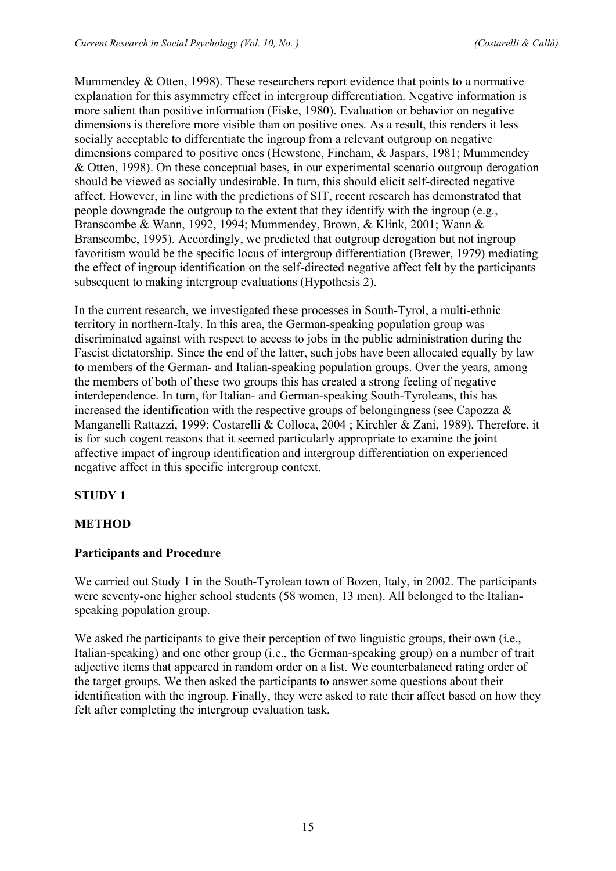Mummendey & Otten, 1998). These researchers report evidence that points to a normative explanation for this asymmetry effect in intergroup differentiation. Negative information is more salient than positive information (Fiske, 1980). Evaluation or behavior on negative dimensions is therefore more visible than on positive ones. As a result, this renders it less socially acceptable to differentiate the ingroup from a relevant outgroup on negative dimensions compared to positive ones (Hewstone, Fincham, & Jaspars, 1981; Mummendey & Otten, 1998). On these conceptual bases, in our experimental scenario outgroup derogation should be viewed as socially undesirable. In turn, this should elicit self-directed negative affect. However, in line with the predictions of SIT, recent research has demonstrated that people downgrade the outgroup to the extent that they identify with the ingroup (e.g., Branscombe & Wann, 1992, 1994; Mummendey, Brown, & Klink, 2001; Wann & Branscombe, 1995). Accordingly, we predicted that outgroup derogation but not ingroup favoritism would be the specific locus of intergroup differentiation (Brewer, 1979) mediating the effect of ingroup identification on the self-directed negative affect felt by the participants subsequent to making intergroup evaluations (Hypothesis 2).

In the current research, we investigated these processes in South-Tyrol, a multi-ethnic territory in northern-Italy. In this area, the German-speaking population group was discriminated against with respect to access to jobs in the public administration during the Fascist dictatorship. Since the end of the latter, such jobs have been allocated equally by law to members of the German- and Italian-speaking population groups. Over the years, among the members of both of these two groups this has created a strong feeling of negative interdependence. In turn, for Italian- and German-speaking South-Tyroleans, this has increased the identification with the respective groups of belongingness (see Capozza  $\&$ Manganelli Rattazzi, 1999; Costarelli & Colloca, 2004 ; Kirchler & Zani, 1989). Therefore, it is for such cogent reasons that it seemed particularly appropriate to examine the joint affective impact of ingroup identification and intergroup differentiation on experienced negative affect in this specific intergroup context.

# **STUDY 1**

# **METHOD**

# **Participants and Procedure**

We carried out Study 1 in the South-Tyrolean town of Bozen, Italy, in 2002. The participants were seventy-one higher school students (58 women, 13 men). All belonged to the Italianspeaking population group.

We asked the participants to give their perception of two linguistic groups, their own (i.e., Italian-speaking) and one other group (i.e., the German-speaking group) on a number of trait adjective items that appeared in random order on a list. We counterbalanced rating order of the target groups. We then asked the participants to answer some questions about their identification with the ingroup. Finally, they were asked to rate their affect based on how they felt after completing the intergroup evaluation task.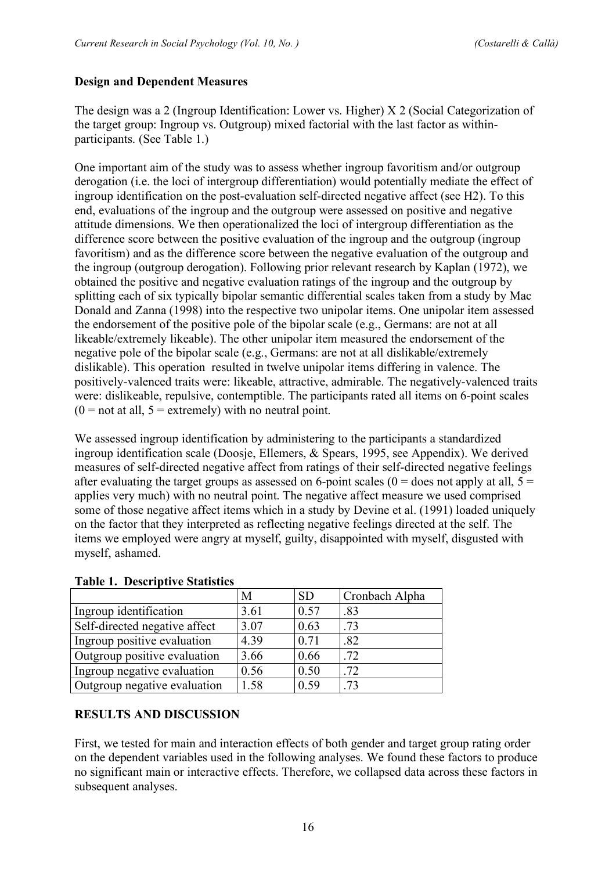### **Design and Dependent Measures**

The design was a 2 (Ingroup Identification: Lower vs. Higher) X 2 (Social Categorization of the target group: Ingroup vs. Outgroup) mixed factorial with the last factor as withinparticipants. (See Table 1.)

One important aim of the study was to assess whether ingroup favoritism and/or outgroup derogation (i.e. the loci of intergroup differentiation) would potentially mediate the effect of ingroup identification on the post-evaluation self-directed negative affect (see H2). To this end, evaluations of the ingroup and the outgroup were assessed on positive and negative attitude dimensions. We then operationalized the loci of intergroup differentiation as the difference score between the positive evaluation of the ingroup and the outgroup (ingroup favoritism) and as the difference score between the negative evaluation of the outgroup and the ingroup (outgroup derogation). Following prior relevant research by Kaplan (1972), we obtained the positive and negative evaluation ratings of the ingroup and the outgroup by splitting each of six typically bipolar semantic differential scales taken from a study by Mac Donald and Zanna (1998) into the respective two unipolar items. One unipolar item assessed the endorsement of the positive pole of the bipolar scale (e.g., Germans: are not at all likeable/extremely likeable). The other unipolar item measured the endorsement of the negative pole of the bipolar scale (e.g., Germans: are not at all dislikable/extremely dislikable). This operation resulted in twelve unipolar items differing in valence. The positively-valenced traits were: likeable, attractive, admirable. The negatively-valenced traits were: dislikeable, repulsive, contemptible. The participants rated all items on 6-point scales  $(0 = not at all, 5 = extremely) with no neutral point.$ 

We assessed ingroup identification by administering to the participants a standardized ingroup identification scale (Doosje, Ellemers, & Spears, 1995, see Appendix). We derived measures of self-directed negative affect from ratings of their self-directed negative feelings after evaluating the target groups as assessed on 6-point scales ( $0 =$  does not apply at all,  $5 =$ applies very much) with no neutral point. The negative affect measure we used comprised some of those negative affect items which in a study by Devine et al. (1991) loaded uniquely on the factor that they interpreted as reflecting negative feelings directed at the self. The items we employed were angry at myself, guilty, disappointed with myself, disgusted with myself, ashamed.

| $\mathbf{1}$ and $\mathbf{1}$ and $\mathbf{2}$ and $\mathbf{3}$ and $\mathbf{4}$ and $\mathbf{5}$ and $\mathbf{6}$ and $\mathbf{7}$ |      |           |                |  |
|-------------------------------------------------------------------------------------------------------------------------------------|------|-----------|----------------|--|
|                                                                                                                                     | M    | <b>SD</b> | Cronbach Alpha |  |
| Ingroup identification                                                                                                              | 3.61 | 0.57      | .83            |  |
| Self-directed negative affect                                                                                                       | 3.07 | 0.63      | .73            |  |
| Ingroup positive evaluation                                                                                                         | 4.39 | 0.71      | .82            |  |
| Outgroup positive evaluation                                                                                                        | 3.66 | 0.66      | .72            |  |
| Ingroup negative evaluation                                                                                                         | 0.56 | 0.50      | .72            |  |
| Outgroup negative evaluation                                                                                                        | 1.58 | 0.59      | .73            |  |

#### **Table 1. Descriptive Statistics**

# **RESULTS AND DISCUSSION**

First, we tested for main and interaction effects of both gender and target group rating order on the dependent variables used in the following analyses. We found these factors to produce no significant main or interactive effects. Therefore, we collapsed data across these factors in subsequent analyses.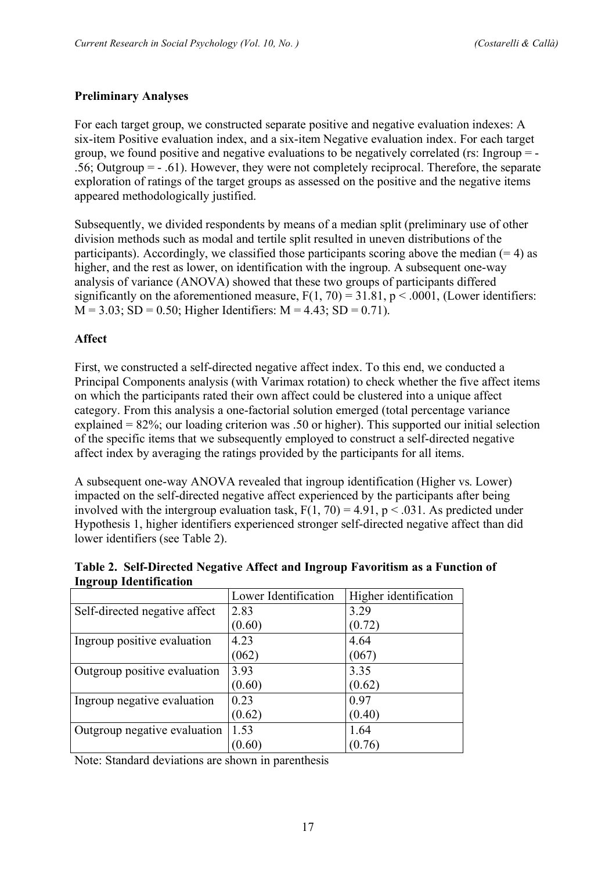### **Preliminary Analyses**

For each target group, we constructed separate positive and negative evaluation indexes: A six-item Positive evaluation index, and a six-item Negative evaluation index. For each target group, we found positive and negative evaluations to be negatively correlated (rs: Ingroup  $=$  -.56; Outgroup = - .61). However, they were not completely reciprocal. Therefore, the separate exploration of ratings of the target groups as assessed on the positive and the negative items appeared methodologically justified.

Subsequently, we divided respondents by means of a median split (preliminary use of other division methods such as modal and tertile split resulted in uneven distributions of the participants). Accordingly, we classified those participants scoring above the median  $(= 4)$  as higher, and the rest as lower, on identification with the ingroup. A subsequent one-way analysis of variance (ANOVA) showed that these two groups of participants differed significantly on the aforementioned measure,  $F(1, 70) = 31.81$ ,  $p < .0001$ , (Lower identifiers:  $M = 3.03$ ; SD = 0.50; Higher Identifiers:  $M = 4.43$ ; SD = 0.71).

#### **Affect**

First, we constructed a self-directed negative affect index. To this end, we conducted a Principal Components analysis (with Varimax rotation) to check whether the five affect items on which the participants rated their own affect could be clustered into a unique affect category. From this analysis a one-factorial solution emerged (total percentage variance explained = 82%; our loading criterion was .50 or higher). This supported our initial selection of the specific items that we subsequently employed to construct a self-directed negative affect index by averaging the ratings provided by the participants for all items.

A subsequent one-way ANOVA revealed that ingroup identification (Higher vs. Lower) impacted on the self-directed negative affect experienced by the participants after being involved with the intergroup evaluation task,  $F(1, 70) = 4.91$ ,  $p < .031$ . As predicted under Hypothesis 1, higher identifiers experienced stronger self-directed negative affect than did lower identifiers (see Table 2).

| <b>INGLUAD INCHILIKATION</b>  |                      |                       |
|-------------------------------|----------------------|-----------------------|
|                               | Lower Identification | Higher identification |
| Self-directed negative affect | 2.83                 | 3.29                  |
|                               | (0.60)               | (0.72)                |
| Ingroup positive evaluation   | 4.23                 | 4.64                  |
|                               | (062)                | (067)                 |
| Outgroup positive evaluation  | 3.93                 | 3.35                  |
|                               | (0.60)               | (0.62)                |
| Ingroup negative evaluation   | 0.23                 | 0.97                  |
|                               | (0.62)               | (0.40)                |
| Outgroup negative evaluation  | 1.53                 | 1.64                  |
|                               | (0.60)               | (0.76)                |

**Table 2. Self-Directed Negative Affect and Ingroup Favoritism as a Function of Ingroup Identification**

Note: Standard deviations are shown in parenthesis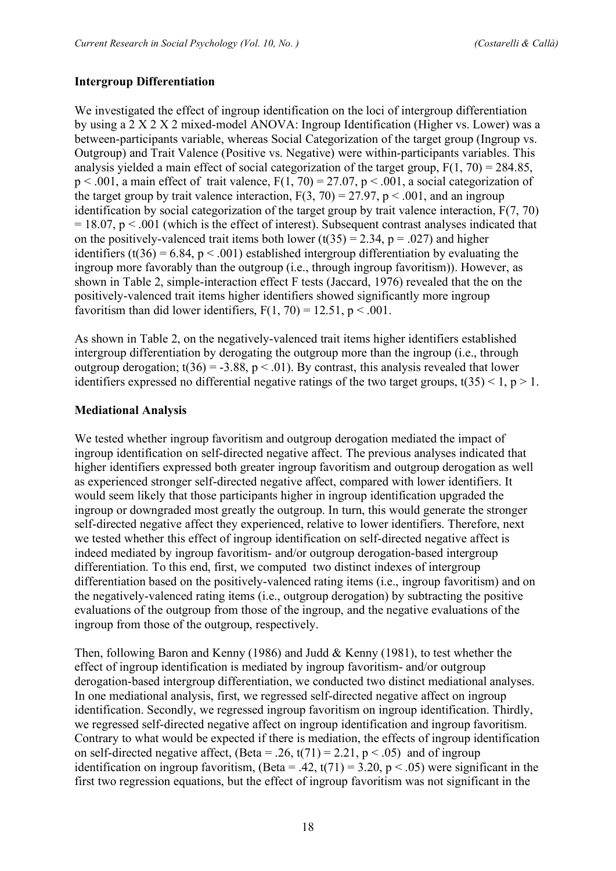### **Intergroup Differentiation**

We investigated the effect of ingroup identification on the loci of intergroup differentiation by using a 2 X 2 X 2 mixed-model ANOVA: Ingroup Identification (Higher vs. Lower) was a between-participants variable, whereas Social Categorization of the target group (Ingroup vs. Outgroup) and Trait Valence (Positive vs. Negative) were within-participants variables. This analysis yielded a main effect of social categorization of the target group,  $F(1, 70) = 284.85$ ,  $p < .001$ , a main effect of trait valence,  $F(1, 70) = 27.07$ ,  $p < .001$ , a social categorization of the target group by trait valence interaction,  $F(3, 70) = 27.97$ ,  $p < .001$ , and an ingroup identification by social categorization of the target group by trait valence interaction, F(7, 70)  $= 18.07$ , p  $\leq 0.001$  (which is the effect of interest). Subsequent contrast analyses indicated that on the positively-valenced trait items both lower (t(35) = 2.34, p = .027) and higher identifiers (t(36) = 6.84,  $p < .001$ ) established intergroup differentiation by evaluating the ingroup more favorably than the outgroup (i.e., through ingroup favoritism)). However, as shown in Table 2, simple-interaction effect F tests (Jaccard, 1976) revealed that the on the positively-valenced trait items higher identifiers showed significantly more ingroup favoritism than did lower identifiers,  $F(1, 70) = 12.51$ ,  $p < .001$ .

As shown in Table 2, on the negatively-valenced trait items higher identifiers established intergroup differentiation by derogating the outgroup more than the ingroup (i.e., through outgroup derogation;  $t(36) = -3.88$ ,  $p < .01$ ). By contrast, this analysis revealed that lower identifiers expressed no differential negative ratings of the two target groups,  $t(35) < 1$ ,  $p > 1$ .

#### **Mediational Analysis**

We tested whether ingroup favoritism and outgroup derogation mediated the impact of ingroup identification on self-directed negative affect. The previous analyses indicated that higher identifiers expressed both greater ingroup favoritism and outgroup derogation as well as experienced stronger self-directed negative affect, compared with lower identifiers. It would seem likely that those participants higher in ingroup identification upgraded the ingroup or downgraded most greatly the outgroup. In turn, this would generate the stronger self-directed negative affect they experienced, relative to lower identifiers. Therefore, next we tested whether this effect of ingroup identification on self-directed negative affect is indeed mediated by ingroup favoritism- and/or outgroup derogation-based intergroup differentiation. To this end, first, we computed two distinct indexes of intergroup differentiation based on the positively-valenced rating items (i.e., ingroup favoritism) and on the negatively-valenced rating items (i.e., outgroup derogation) by subtracting the positive evaluations of the outgroup from those of the ingroup, and the negative evaluations of the ingroup from those of the outgroup, respectively.

Then, following Baron and Kenny (1986) and Judd & Kenny (1981), to test whether the effect of ingroup identification is mediated by ingroup favoritism- and/or outgroup derogation-based intergroup differentiation, we conducted two distinct mediational analyses. In one mediational analysis, first, we regressed self-directed negative affect on ingroup identification. Secondly, we regressed ingroup favoritism on ingroup identification. Thirdly, we regressed self-directed negative affect on ingroup identification and ingroup favoritism. Contrary to what would be expected if there is mediation, the effects of ingroup identification on self-directed negative affect,  $\text{(Beta = .26, t(71) = 2.21, p < .05)}$  and of ingroup identification on ingroup favoritism, (Beta = .42,  $t(71) = 3.20$ ,  $p < .05$ ) were significant in the first two regression equations, but the effect of ingroup favoritism was not significant in the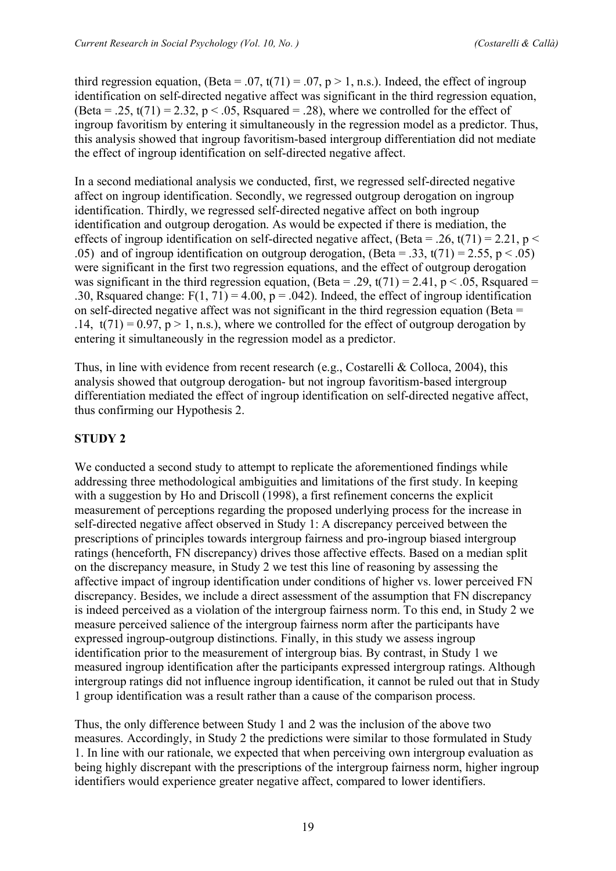third regression equation, (Beta = .07, t(71) = .07, p > 1, n.s.). Indeed, the effect of ingroup identification on self-directed negative affect was significant in the third regression equation, (Beta = .25,  $t(71) = 2.32$ ,  $p < .05$ , Rsquared = .28), where we controlled for the effect of ingroup favoritism by entering it simultaneously in the regression model as a predictor. Thus, this analysis showed that ingroup favoritism-based intergroup differentiation did not mediate the effect of ingroup identification on self-directed negative affect.

In a second mediational analysis we conducted, first, we regressed self-directed negative affect on ingroup identification. Secondly, we regressed outgroup derogation on ingroup identification. Thirdly, we regressed self-directed negative affect on both ingroup identification and outgroup derogation. As would be expected if there is mediation, the effects of ingroup identification on self-directed negative affect, (Beta = .26, t(71) = 2.21, p < .05) and of ingroup identification on outgroup derogation, (Beta = .33, t(71) = 2.55, p < .05) were significant in the first two regression equations, and the effect of outgroup derogation was significant in the third regression equation, (Beta = .29,  $t(71) = 2.41$ ,  $p < .05$ , Rsquared = .30, Rsquared change:  $F(1, 71) = 4.00$ ,  $p = .042$ ). Indeed, the effect of ingroup identification on self-directed negative affect was not significant in the third regression equation (Beta = .14,  $t(71) = 0.97$ ,  $p > 1$ , n.s.), where we controlled for the effect of outgroup derogation by entering it simultaneously in the regression model as a predictor.

Thus, in line with evidence from recent research (e.g., Costarelli & Colloca, 2004), this analysis showed that outgroup derogation- but not ingroup favoritism-based intergroup differentiation mediated the effect of ingroup identification on self-directed negative affect, thus confirming our Hypothesis 2.

# **STUDY 2**

We conducted a second study to attempt to replicate the aforementioned findings while addressing three methodological ambiguities and limitations of the first study. In keeping with a suggestion by Ho and Driscoll (1998), a first refinement concerns the explicit measurement of perceptions regarding the proposed underlying process for the increase in self-directed negative affect observed in Study 1: A discrepancy perceived between the prescriptions of principles towards intergroup fairness and pro-ingroup biased intergroup ratings (henceforth, FN discrepancy) drives those affective effects. Based on a median split on the discrepancy measure, in Study 2 we test this line of reasoning by assessing the affective impact of ingroup identification under conditions of higher vs. lower perceived FN discrepancy. Besides, we include a direct assessment of the assumption that FN discrepancy is indeed perceived as a violation of the intergroup fairness norm. To this end, in Study 2 we measure perceived salience of the intergroup fairness norm after the participants have expressed ingroup-outgroup distinctions. Finally, in this study we assess ingroup identification prior to the measurement of intergroup bias. By contrast, in Study 1 we measured ingroup identification after the participants expressed intergroup ratings. Although intergroup ratings did not influence ingroup identification, it cannot be ruled out that in Study 1 group identification was a result rather than a cause of the comparison process.

Thus, the only difference between Study 1 and 2 was the inclusion of the above two measures. Accordingly, in Study 2 the predictions were similar to those formulated in Study 1. In line with our rationale, we expected that when perceiving own intergroup evaluation as being highly discrepant with the prescriptions of the intergroup fairness norm, higher ingroup identifiers would experience greater negative affect, compared to lower identifiers.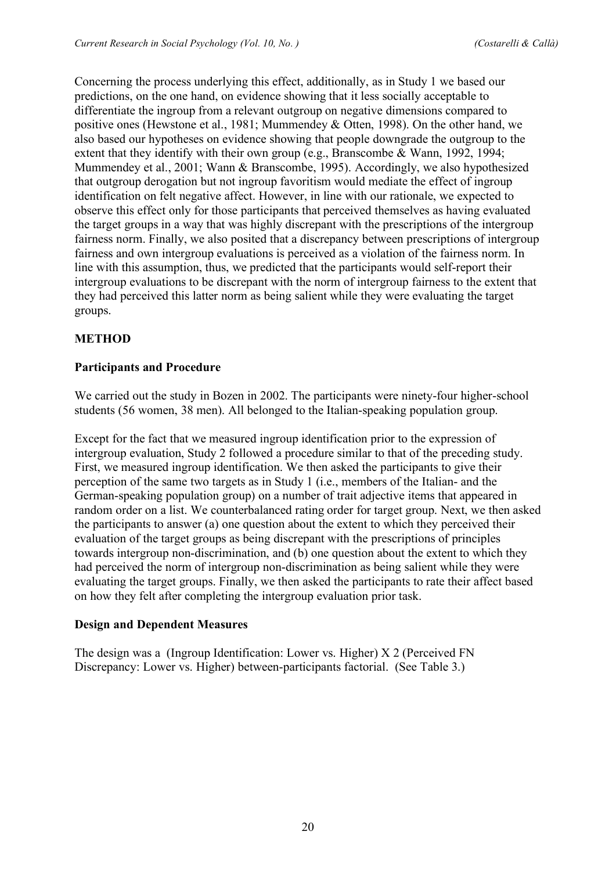Concerning the process underlying this effect, additionally, as in Study 1 we based our predictions, on the one hand, on evidence showing that it less socially acceptable to differentiate the ingroup from a relevant outgroup on negative dimensions compared to positive ones (Hewstone et al., 1981; Mummendey & Otten, 1998). On the other hand, we also based our hypotheses on evidence showing that people downgrade the outgroup to the extent that they identify with their own group (e.g., Branscombe & Wann, 1992, 1994; Mummendey et al., 2001; Wann & Branscombe, 1995). Accordingly, we also hypothesized that outgroup derogation but not ingroup favoritism would mediate the effect of ingroup identification on felt negative affect. However, in line with our rationale, we expected to observe this effect only for those participants that perceived themselves as having evaluated the target groups in a way that was highly discrepant with the prescriptions of the intergroup fairness norm. Finally, we also posited that a discrepancy between prescriptions of intergroup fairness and own intergroup evaluations is perceived as a violation of the fairness norm. In line with this assumption, thus, we predicted that the participants would self-report their intergroup evaluations to be discrepant with the norm of intergroup fairness to the extent that they had perceived this latter norm as being salient while they were evaluating the target groups.

# **METHOD**

# **Participants and Procedure**

We carried out the study in Bozen in 2002. The participants were ninety-four higher-school students (56 women, 38 men). All belonged to the Italian-speaking population group.

Except for the fact that we measured ingroup identification prior to the expression of intergroup evaluation, Study 2 followed a procedure similar to that of the preceding study. First, we measured ingroup identification. We then asked the participants to give their perception of the same two targets as in Study 1 (i.e., members of the Italian- and the German-speaking population group) on a number of trait adjective items that appeared in random order on a list. We counterbalanced rating order for target group. Next, we then asked the participants to answer (a) one question about the extent to which they perceived their evaluation of the target groups as being discrepant with the prescriptions of principles towards intergroup non-discrimination, and (b) one question about the extent to which they had perceived the norm of intergroup non-discrimination as being salient while they were evaluating the target groups. Finally, we then asked the participants to rate their affect based on how they felt after completing the intergroup evaluation prior task.

# **Design and Dependent Measures**

The design was a (Ingroup Identification: Lower vs. Higher) X 2 (Perceived FN Discrepancy: Lower vs. Higher) between-participants factorial. (See Table 3.)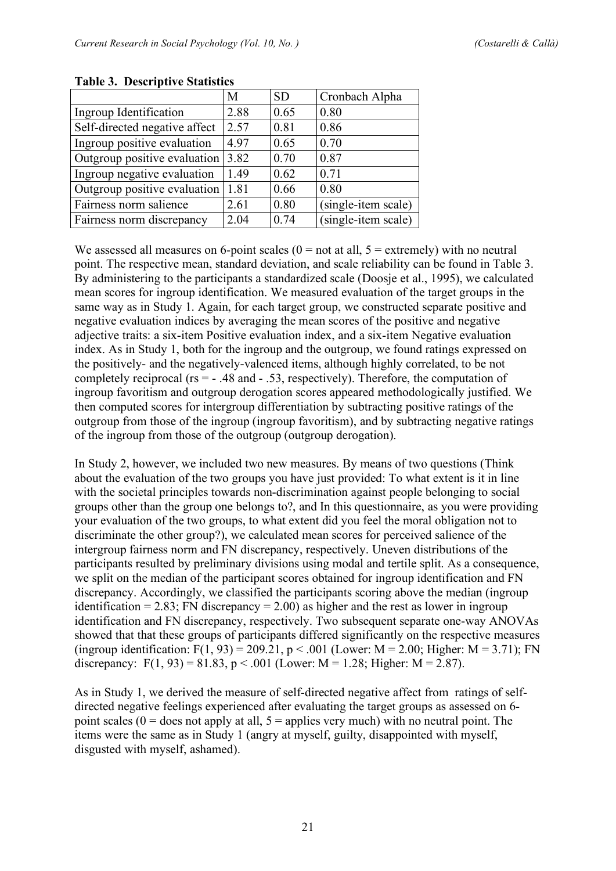|                               | M    | <b>SD</b> | Cronbach Alpha      |
|-------------------------------|------|-----------|---------------------|
| Ingroup Identification        | 2.88 | 0.65      | 0.80                |
| Self-directed negative affect | 2.57 | 0.81      | 0.86                |
| Ingroup positive evaluation   | 4.97 | 0.65      | 0.70                |
| Outgroup positive evaluation  | 3.82 | 0.70      | 0.87                |
| Ingroup negative evaluation   | 1.49 | 0.62      | 0.71                |
| Outgroup positive evaluation  | 1.81 | 0.66      | 0.80                |
| Fairness norm salience        | 2.61 | 0.80      | (single-item scale) |
| Fairness norm discrepancy     | 2.04 | 0.74      | (single-item scale) |
|                               |      |           |                     |

**Table 3. Descriptive Statistics**

We assessed all measures on 6-point scales ( $0 =$  not at all,  $5 =$  extremely) with no neutral point. The respective mean, standard deviation, and scale reliability can be found in Table 3. By administering to the participants a standardized scale (Doosie et al., 1995), we calculated mean scores for ingroup identification. We measured evaluation of the target groups in the same way as in Study 1. Again, for each target group, we constructed separate positive and negative evaluation indices by averaging the mean scores of the positive and negative adjective traits: a six-item Positive evaluation index, and a six-item Negative evaluation index. As in Study 1, both for the ingroup and the outgroup, we found ratings expressed on the positively- and the negatively-valenced items, although highly correlated, to be not completely reciprocal (rs = - .48 and - .53, respectively). Therefore, the computation of ingroup favoritism and outgroup derogation scores appeared methodologically justified. We then computed scores for intergroup differentiation by subtracting positive ratings of the outgroup from those of the ingroup (ingroup favoritism), and by subtracting negative ratings of the ingroup from those of the outgroup (outgroup derogation).

In Study 2, however, we included two new measures. By means of two questions (Think about the evaluation of the two groups you have just provided: To what extent is it in line with the societal principles towards non-discrimination against people belonging to social groups other than the group one belongs to?, and In this questionnaire, as you were providing your evaluation of the two groups, to what extent did you feel the moral obligation not to discriminate the other group?), we calculated mean scores for perceived salience of the intergroup fairness norm and FN discrepancy, respectively. Uneven distributions of the participants resulted by preliminary divisions using modal and tertile split. As a consequence, we split on the median of the participant scores obtained for ingroup identification and FN discrepancy. Accordingly, we classified the participants scoring above the median (ingroup identification = 2.83; FN discrepancy = 2.00) as higher and the rest as lower in ingroup identification and FN discrepancy, respectively. Two subsequent separate one-way ANOVAs showed that that these groups of participants differed significantly on the respective measures (ingroup identification:  $F(1, 93) = 209.21$ ,  $p < .001$  (Lower:  $M = 2.00$ ; Higher:  $M = 3.71$ ); FN discrepancy:  $F(1, 93) = 81.83$ ,  $p < .001$  (Lower: M = 1.28; Higher: M = 2.87).

As in Study 1, we derived the measure of self-directed negative affect from ratings of selfdirected negative feelings experienced after evaluating the target groups as assessed on 6 point scales ( $0 =$  does not apply at all,  $5 =$  applies very much) with no neutral point. The items were the same as in Study 1 (angry at myself, guilty, disappointed with myself, disgusted with myself, ashamed).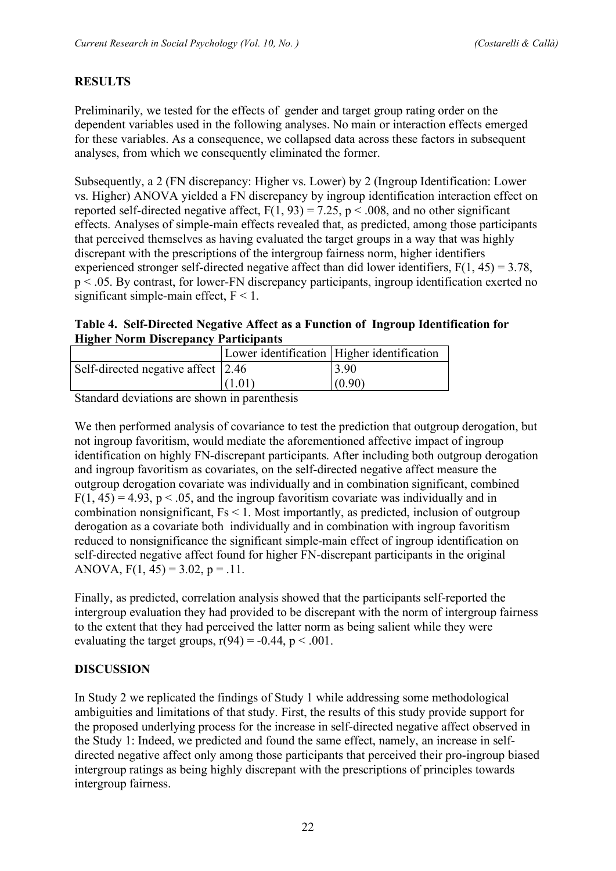# **RESULTS**

Preliminarily, we tested for the effects of gender and target group rating order on the dependent variables used in the following analyses. No main or interaction effects emerged for these variables. As a consequence, we collapsed data across these factors in subsequent analyses, from which we consequently eliminated the former.

Subsequently, a 2 (FN discrepancy: Higher vs. Lower) by 2 (Ingroup Identification: Lower vs. Higher) ANOVA yielded a FN discrepancy by ingroup identification interaction effect on reported self-directed negative affect,  $F(1, 93) = 7.25$ ,  $p < .008$ , and no other significant effects. Analyses of simple-main effects revealed that, as predicted, among those participants that perceived themselves as having evaluated the target groups in a way that was highly discrepant with the prescriptions of the intergroup fairness norm, higher identifiers experienced stronger self-directed negative affect than did lower identifiers,  $F(1, 45) = 3.78$ , p < .05. By contrast, for lower-FN discrepancy participants, ingroup identification exerted no significant simple-main effect,  $F < 1$ .

**Table 4. Self-Directed Negative Affect as a Function of Ingroup Identification for Higher Norm Discrepancy Participants**

|                                    |        | Lower identification   Higher identification |
|------------------------------------|--------|----------------------------------------------|
| Self-directed negative affect 2.46 |        | 3.90                                         |
|                                    | (1.01) | (0.90)                                       |
| .<br>___                           |        |                                              |

Standard deviations are shown in parenthesis

We then performed analysis of covariance to test the prediction that outgroup derogation, but not ingroup favoritism, would mediate the aforementioned affective impact of ingroup identification on highly FN-discrepant participants. After including both outgroup derogation and ingroup favoritism as covariates, on the self-directed negative affect measure the outgroup derogation covariate was individually and in combination significant, combined  $F(1, 45) = 4.93$ ,  $p < .05$ , and the ingroup favoritism covariate was individually and in combination nonsignificant, Fs < 1. Most importantly, as predicted, inclusion of outgroup derogation as a covariate both individually and in combination with ingroup favoritism reduced to nonsignificance the significant simple-main effect of ingroup identification on self-directed negative affect found for higher FN-discrepant participants in the original ANOVA,  $F(1, 45) = 3.02$ ,  $p = .11$ .

Finally, as predicted, correlation analysis showed that the participants self-reported the intergroup evaluation they had provided to be discrepant with the norm of intergroup fairness to the extent that they had perceived the latter norm as being salient while they were evaluating the target groups,  $r(94) = -0.44$ ,  $p < .001$ .

# **DISCUSSION**

In Study 2 we replicated the findings of Study 1 while addressing some methodological ambiguities and limitations of that study. First, the results of this study provide support for the proposed underlying process for the increase in self-directed negative affect observed in the Study 1: Indeed, we predicted and found the same effect, namely, an increase in selfdirected negative affect only among those participants that perceived their pro-ingroup biased intergroup ratings as being highly discrepant with the prescriptions of principles towards intergroup fairness.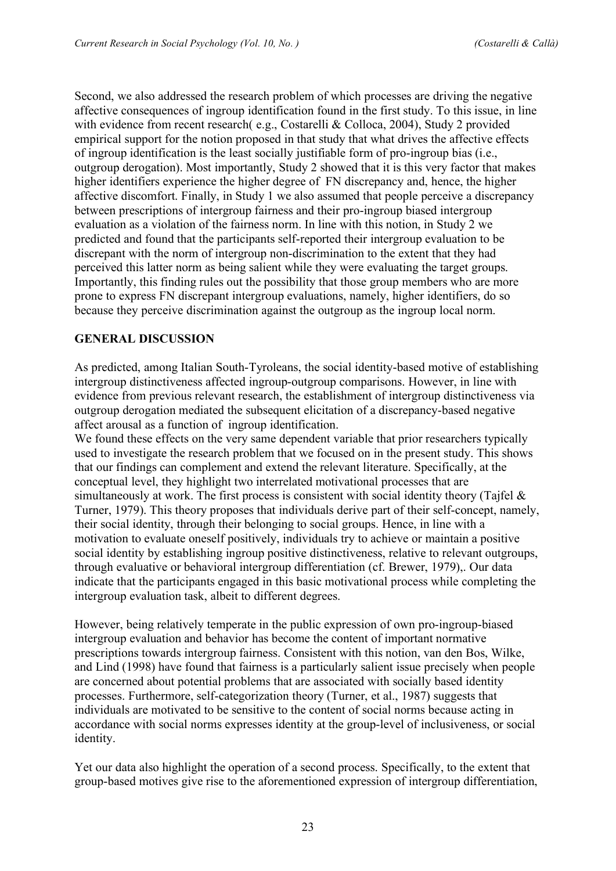Second, we also addressed the research problem of which processes are driving the negative affective consequences of ingroup identification found in the first study. To this issue, in line with evidence from recent research( e.g., Costarelli & Colloca, 2004), Study 2 provided empirical support for the notion proposed in that study that what drives the affective effects of ingroup identification is the least socially justifiable form of pro-ingroup bias (i.e., outgroup derogation). Most importantly, Study 2 showed that it is this very factor that makes higher identifiers experience the higher degree of FN discrepancy and, hence, the higher affective discomfort. Finally, in Study 1 we also assumed that people perceive a discrepancy between prescriptions of intergroup fairness and their pro-ingroup biased intergroup evaluation as a violation of the fairness norm. In line with this notion, in Study 2 we predicted and found that the participants self-reported their intergroup evaluation to be discrepant with the norm of intergroup non-discrimination to the extent that they had perceived this latter norm as being salient while they were evaluating the target groups. Importantly, this finding rules out the possibility that those group members who are more prone to express FN discrepant intergroup evaluations, namely, higher identifiers, do so because they perceive discrimination against the outgroup as the ingroup local norm.

#### **GENERAL DISCUSSION**

As predicted, among Italian South-Tyroleans, the social identity-based motive of establishing intergroup distinctiveness affected ingroup-outgroup comparisons. However, in line with evidence from previous relevant research, the establishment of intergroup distinctiveness via outgroup derogation mediated the subsequent elicitation of a discrepancy-based negative affect arousal as a function of ingroup identification.

We found these effects on the very same dependent variable that prior researchers typically used to investigate the research problem that we focused on in the present study. This shows that our findings can complement and extend the relevant literature. Specifically, at the conceptual level, they highlight two interrelated motivational processes that are simultaneously at work. The first process is consistent with social identity theory (Tajfel  $\&$ Turner, 1979). This theory proposes that individuals derive part of their self-concept, namely, their social identity, through their belonging to social groups. Hence, in line with a motivation to evaluate oneself positively, individuals try to achieve or maintain a positive social identity by establishing ingroup positive distinctiveness, relative to relevant outgroups, through evaluative or behavioral intergroup differentiation (cf. Brewer, 1979),. Our data indicate that the participants engaged in this basic motivational process while completing the intergroup evaluation task, albeit to different degrees.

However, being relatively temperate in the public expression of own pro-ingroup-biased intergroup evaluation and behavior has become the content of important normative prescriptions towards intergroup fairness. Consistent with this notion, van den Bos, Wilke, and Lind (1998) have found that fairness is a particularly salient issue precisely when people are concerned about potential problems that are associated with socially based identity processes. Furthermore, self-categorization theory (Turner, et al., 1987) suggests that individuals are motivated to be sensitive to the content of social norms because acting in accordance with social norms expresses identity at the group-level of inclusiveness, or social identity.

Yet our data also highlight the operation of a second process. Specifically, to the extent that group-based motives give rise to the aforementioned expression of intergroup differentiation,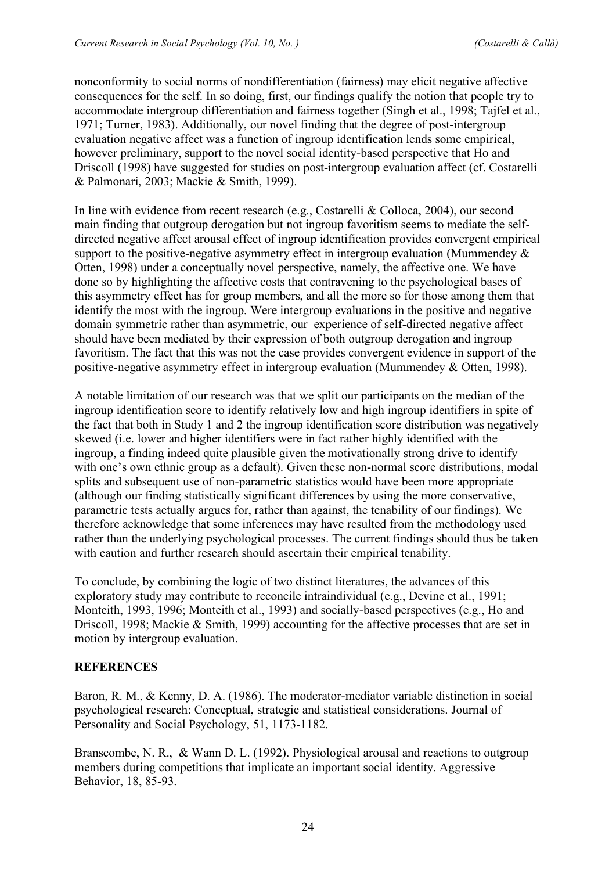nonconformity to social norms of nondifferentiation (fairness) may elicit negative affective consequences for the self. In so doing, first, our findings qualify the notion that people try to accommodate intergroup differentiation and fairness together (Singh et al., 1998; Tajfel et al., 1971; Turner, 1983). Additionally, our novel finding that the degree of post-intergroup evaluation negative affect was a function of ingroup identification lends some empirical, however preliminary, support to the novel social identity-based perspective that Ho and Driscoll (1998) have suggested for studies on post-intergroup evaluation affect (cf. Costarelli & Palmonari, 2003; Mackie & Smith, 1999).

In line with evidence from recent research (e.g., Costarelli & Colloca, 2004), our second main finding that outgroup derogation but not ingroup favoritism seems to mediate the selfdirected negative affect arousal effect of ingroup identification provides convergent empirical support to the positive-negative asymmetry effect in intergroup evaluation (Mummendey  $\&$ Otten, 1998) under a conceptually novel perspective, namely, the affective one. We have done so by highlighting the affective costs that contravening to the psychological bases of this asymmetry effect has for group members, and all the more so for those among them that identify the most with the ingroup. Were intergroup evaluations in the positive and negative domain symmetric rather than asymmetric, our experience of self-directed negative affect should have been mediated by their expression of both outgroup derogation and ingroup favoritism. The fact that this was not the case provides convergent evidence in support of the positive-negative asymmetry effect in intergroup evaluation (Mummendey & Otten, 1998).

A notable limitation of our research was that we split our participants on the median of the ingroup identification score to identify relatively low and high ingroup identifiers in spite of the fact that both in Study 1 and 2 the ingroup identification score distribution was negatively skewed (i.e. lower and higher identifiers were in fact rather highly identified with the ingroup, a finding indeed quite plausible given the motivationally strong drive to identify with one's own ethnic group as a default). Given these non-normal score distributions, modal splits and subsequent use of non-parametric statistics would have been more appropriate (although our finding statistically significant differences by using the more conservative, parametric tests actually argues for, rather than against, the tenability of our findings). We therefore acknowledge that some inferences may have resulted from the methodology used rather than the underlying psychological processes. The current findings should thus be taken with caution and further research should ascertain their empirical tenability.

To conclude, by combining the logic of two distinct literatures, the advances of this exploratory study may contribute to reconcile intraindividual (e.g., Devine et al., 1991; Monteith, 1993, 1996; Monteith et al., 1993) and socially-based perspectives (e.g., Ho and Driscoll, 1998; Mackie & Smith, 1999) accounting for the affective processes that are set in motion by intergroup evaluation.

#### **REFERENCES**

Baron, R. M., & Kenny, D. A. (1986). The moderator-mediator variable distinction in social psychological research: Conceptual, strategic and statistical considerations. Journal of Personality and Social Psychology, 51, 1173-1182.

Branscombe, N. R., & Wann D. L. (1992). Physiological arousal and reactions to outgroup members during competitions that implicate an important social identity. Aggressive Behavior, 18, 85-93.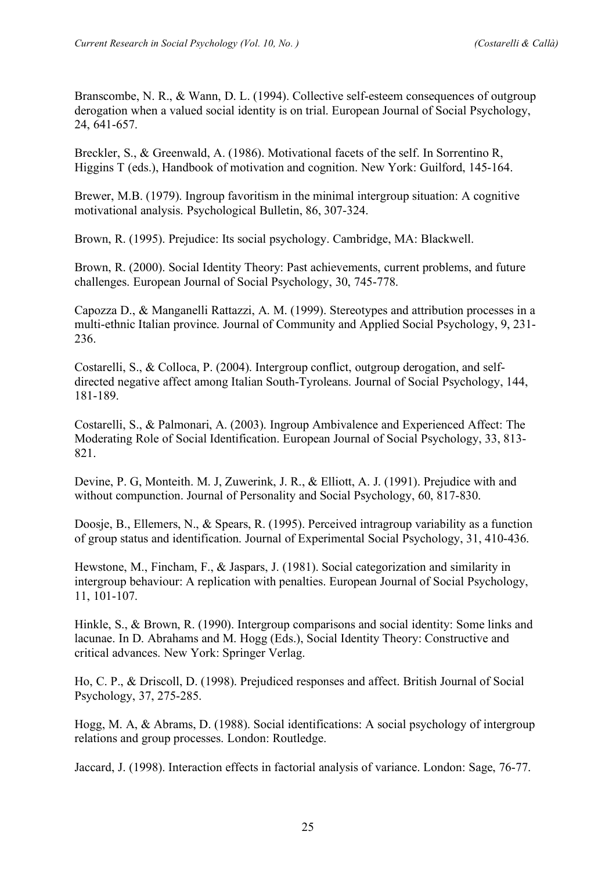Branscombe, N. R., & Wann, D. L. (1994). Collective self-esteem consequences of outgroup derogation when a valued social identity is on trial. European Journal of Social Psychology, 24, 641-657.

Breckler, S., & Greenwald, A. (1986). Motivational facets of the self. In Sorrentino R, Higgins T (eds.), Handbook of motivation and cognition. New York: Guilford, 145-164.

Brewer, M.B. (1979). Ingroup favoritism in the minimal intergroup situation: A cognitive motivational analysis. Psychological Bulletin, 86, 307-324.

Brown, R. (1995). Prejudice: Its social psychology. Cambridge, MA: Blackwell.

Brown, R. (2000). Social Identity Theory: Past achievements, current problems, and future challenges. European Journal of Social Psychology, 30, 745-778.

Capozza D., & Manganelli Rattazzi, A. M. (1999). Stereotypes and attribution processes in a multi-ethnic Italian province. Journal of Community and Applied Social Psychology, 9, 231- 236.

Costarelli, S., & Colloca, P. (2004). Intergroup conflict, outgroup derogation, and selfdirected negative affect among Italian South-Tyroleans. Journal of Social Psychology, 144, 181-189.

Costarelli, S., & Palmonari, A. (2003). Ingroup Ambivalence and Experienced Affect: The Moderating Role of Social Identification. European Journal of Social Psychology, 33, 813- 821.

Devine, P. G, Monteith. M. J, Zuwerink, J. R., & Elliott, A. J. (1991). Prejudice with and without compunction. Journal of Personality and Social Psychology, 60, 817-830.

Doosje, B., Ellemers, N., & Spears, R. (1995). Perceived intragroup variability as a function of group status and identification. Journal of Experimental Social Psychology, 31, 410-436.

Hewstone, M., Fincham, F., & Jaspars, J. (1981). Social categorization and similarity in intergroup behaviour: A replication with penalties. European Journal of Social Psychology, 11, 101-107.

Hinkle, S., & Brown, R. (1990). Intergroup comparisons and social identity: Some links and lacunae. In D. Abrahams and M. Hogg (Eds.), Social Identity Theory: Constructive and critical advances. New York: Springer Verlag.

Ho, C. P., & Driscoll, D. (1998). Prejudiced responses and affect. British Journal of Social Psychology, 37, 275-285.

Hogg, M. A, & Abrams, D. (1988). Social identifications: A social psychology of intergroup relations and group processes. London: Routledge.

Jaccard, J. (1998). Interaction effects in factorial analysis of variance. London: Sage, 76-77.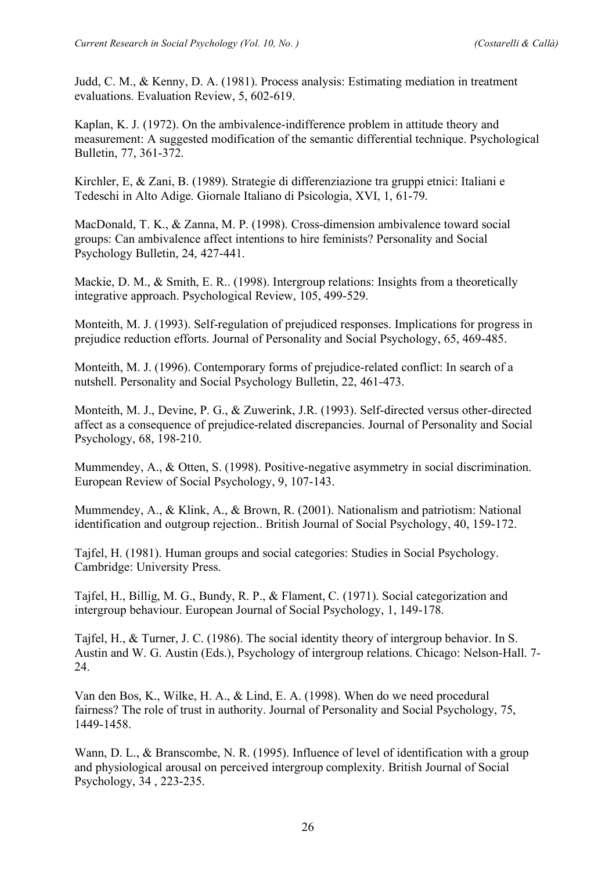Judd, C. M., & Kenny, D. A. (1981). Process analysis: Estimating mediation in treatment evaluations. Evaluation Review, 5, 602-619.

Kaplan, K. J. (1972). On the ambivalence-indifference problem in attitude theory and measurement: A suggested modification of the semantic differential technique. Psychological Bulletin, 77, 361-372.

Kirchler, E, & Zani, B. (1989). Strategie di differenziazione tra gruppi etnici: Italiani e Tedeschi in Alto Adige. Giornale Italiano di Psicologia, XVI, 1, 61-79.

MacDonald, T. K., & Zanna, M. P. (1998). Cross-dimension ambivalence toward social groups: Can ambivalence affect intentions to hire feminists? Personality and Social Psychology Bulletin, 24, 427-441.

Mackie, D. M., & Smith, E. R.. (1998). Intergroup relations: Insights from a theoretically integrative approach. Psychological Review, 105, 499-529.

Monteith, M. J. (1993). Self-regulation of prejudiced responses. Implications for progress in prejudice reduction efforts. Journal of Personality and Social Psychology, 65, 469-485.

Monteith, M. J. (1996). Contemporary forms of prejudice-related conflict: In search of a nutshell. Personality and Social Psychology Bulletin, 22, 461-473.

Monteith, M. J., Devine, P. G., & Zuwerink, J.R. (1993). Self-directed versus other-directed affect as a consequence of prejudice-related discrepancies. Journal of Personality and Social Psychology, 68, 198-210.

Mummendey, A., & Otten, S. (1998). Positive-negative asymmetry in social discrimination. European Review of Social Psychology, 9, 107-143.

Mummendey, A., & Klink, A., & Brown, R. (2001). Nationalism and patriotism: National identification and outgroup rejection.. British Journal of Social Psychology, 40, 159-172.

Tajfel, H. (1981). Human groups and social categories: Studies in Social Psychology. Cambridge: University Press.

Tajfel, H., Billig, M. G., Bundy, R. P., & Flament, C. (1971). Social categorization and intergroup behaviour. European Journal of Social Psychology, 1, 149-178.

Tajfel, H., & Turner, J. C. (1986). The social identity theory of intergroup behavior. In S. Austin and W. G. Austin (Eds.), Psychology of intergroup relations. Chicago: Nelson-Hall. 7- 24.

Van den Bos, K., Wilke, H. A., & Lind, E. A. (1998). When do we need procedural fairness? The role of trust in authority. Journal of Personality and Social Psychology, 75, 1449-1458.

Wann, D. L., & Branscombe, N. R. (1995). Influence of level of identification with a group and physiological arousal on perceived intergroup complexity. British Journal of Social Psychology, 34 , 223-235.